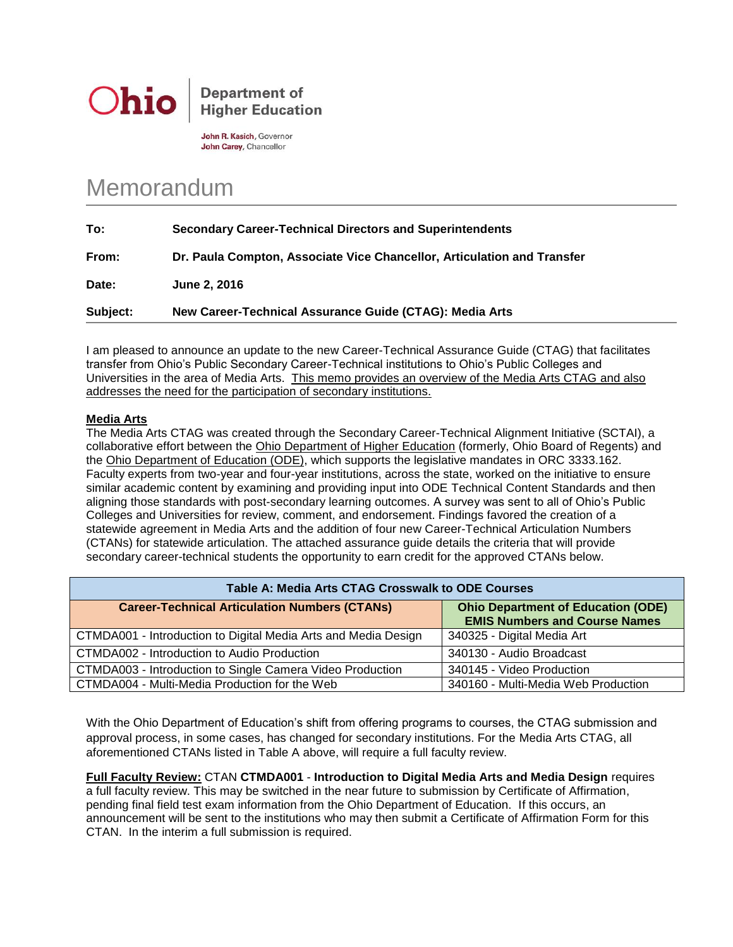

**Department of Higher Education** 

John R. Kasich, Governor John Carey, Chancellor

## Memorandum

| To:      | <b>Secondary Career-Technical Directors and Superintendents</b>         |
|----------|-------------------------------------------------------------------------|
| From:    | Dr. Paula Compton, Associate Vice Chancellor, Articulation and Transfer |
| Date:    | June 2, 2016                                                            |
| Subject: | New Career-Technical Assurance Guide (CTAG): Media Arts                 |

I am pleased to announce an update to the new Career-Technical Assurance Guide (CTAG) that facilitates transfer from Ohio's Public Secondary Career-Technical institutions to Ohio's Public Colleges and Universities in the area of Media Arts. This memo provides an overview of the Media Arts CTAG and also addresses the need for the participation of secondary institutions.

## **Media Arts**

The Media Arts CTAG was created through the Secondary Career-Technical Alignment Initiative (SCTAI), a collaborative effort between the Ohio Department of Higher Education (formerly, Ohio Board of Regents) and the Ohio Department of Education (ODE), which supports the legislative mandates in ORC 3333.162. Faculty experts from two-year and four-year institutions, across the state, worked on the initiative to ensure similar academic content by examining and providing input into ODE Technical Content Standards and then aligning those standards with post-secondary learning outcomes. A survey was sent to all of Ohio's Public Colleges and Universities for review, comment, and endorsement. Findings favored the creation of a statewide agreement in Media Arts and the addition of four new Career-Technical Articulation Numbers (CTANs) for statewide articulation. The attached assurance guide details the criteria that will provide secondary career-technical students the opportunity to earn credit for the approved CTANs below.

| Table A: Media Arts CTAG Crosswalk to ODE Courses              |                                                                                   |  |  |
|----------------------------------------------------------------|-----------------------------------------------------------------------------------|--|--|
| <b>Career-Technical Articulation Numbers (CTANs)</b>           | <b>Ohio Department of Education (ODE)</b><br><b>EMIS Numbers and Course Names</b> |  |  |
| CTMDA001 - Introduction to Digital Media Arts and Media Design | 340325 - Digital Media Art                                                        |  |  |
| CTMDA002 - Introduction to Audio Production                    | 340130 - Audio Broadcast                                                          |  |  |
| CTMDA003 - Introduction to Single Camera Video Production      | 340145 - Video Production                                                         |  |  |
| CTMDA004 - Multi-Media Production for the Web                  | 340160 - Multi-Media Web Production                                               |  |  |

With the Ohio Department of Education's shift from offering programs to courses, the CTAG submission and approval process, in some cases, has changed for secondary institutions. For the Media Arts CTAG, all aforementioned CTANs listed in Table A above, will require a full faculty review.

**Full Faculty Review:** CTAN **CTMDA001** - **Introduction to Digital Media Arts and Media Design** requires a full faculty review. This may be switched in the near future to submission by Certificate of Affirmation, pending final field test exam information from the Ohio Department of Education. If this occurs, an announcement will be sent to the institutions who may then submit a Certificate of Affirmation Form for this CTAN. In the interim a full submission is required.